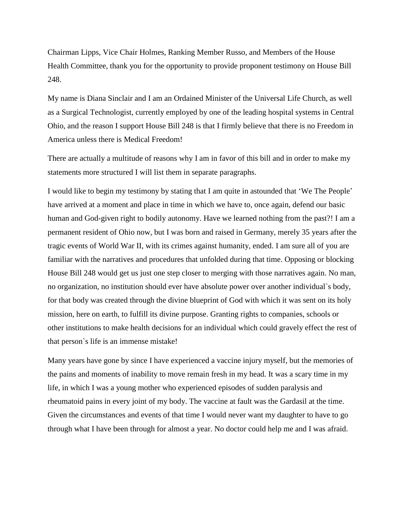Chairman Lipps, Vice Chair Holmes, Ranking Member Russo, and Members of the House Health Committee, thank you for the opportunity to provide proponent testimony on House Bill 248.

My name is Diana Sinclair and I am an Ordained Minister of the Universal Life Church, as well as a Surgical Technologist, currently employed by one of the leading hospital systems in Central Ohio, and the reason I support House Bill 248 is that I firmly believe that there is no Freedom in America unless there is Medical Freedom!

There are actually a multitude of reasons why I am in favor of this bill and in order to make my statements more structured I will list them in separate paragraphs.

I would like to begin my testimony by stating that I am quite in astounded that 'We The People' have arrived at a moment and place in time in which we have to, once again, defend our basic human and God-given right to bodily autonomy. Have we learned nothing from the past?! I am a permanent resident of Ohio now, but I was born and raised in Germany, merely 35 years after the tragic events of World War II, with its crimes against humanity, ended. I am sure all of you are familiar with the narratives and procedures that unfolded during that time. Opposing or blocking House Bill 248 would get us just one step closer to merging with those narratives again. No man, no organization, no institution should ever have absolute power over another individual`s body, for that body was created through the divine blueprint of God with which it was sent on its holy mission, here on earth, to fulfill its divine purpose. Granting rights to companies, schools or other institutions to make health decisions for an individual which could gravely effect the rest of that person`s life is an immense mistake!

Many years have gone by since I have experienced a vaccine injury myself, but the memories of the pains and moments of inability to move remain fresh in my head. It was a scary time in my life, in which I was a young mother who experienced episodes of sudden paralysis and rheumatoid pains in every joint of my body. The vaccine at fault was the Gardasil at the time. Given the circumstances and events of that time I would never want my daughter to have to go through what I have been through for almost a year. No doctor could help me and I was afraid.